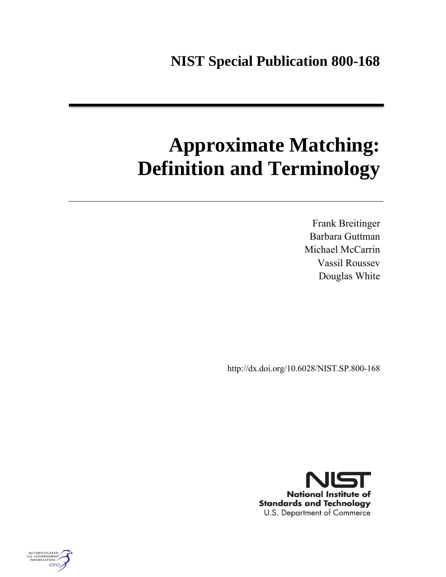# **Approximate Matching: Definition and Terminology**

Frank Breitinger Barbara Guttman Michael McCarrin Vassil Roussev Douglas White

http://dx.doi.org/10.6028/NIST.SP.800-168



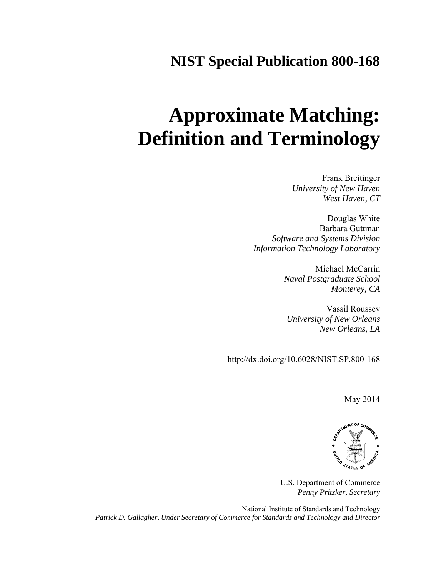## **NIST Special Publication 800-168**

## **Approximate Matching: Definition and Terminology**

Frank Breitinger *University of New Haven West Haven, CT* 

Douglas White Barbara Guttman *Software and Systems Division Information Technology Laboratory* 

> Michael McCarrin *Naval Postgraduate School Monterey, CA*

Vassil Roussev *University of New Orleans New Orleans, LA* 

http://dx.doi.org/10.6028/NIST.SP.800-168

May 2014



U.S. Department of Commerce *Penny Pritzker, Secretary* 

 *Patrick D. Gallagher, Under Secretary of Commerce for Standards and Technology and Director* National Institute of Standards and Technology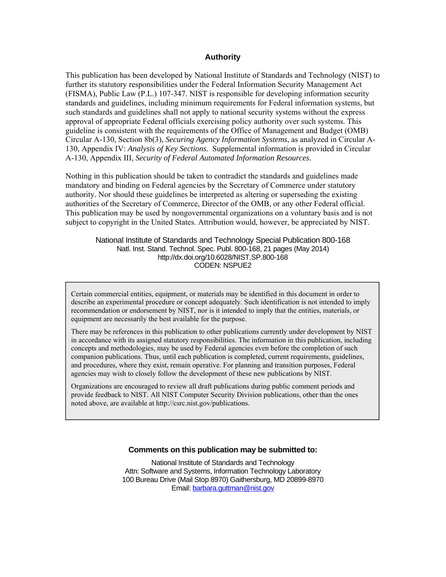## **Authority**

This publication has been developed by National Institute of Standards and Technology (NIST) to further its statutory responsibilities under the Federal Information Security Management Act (FISMA), Public Law (P.L.) 107-347. NIST is responsible for developing information security standards and guidelines, including minimum requirements for Federal information systems, but such standards and guidelines shall not apply to national security systems without the express approval of appropriate Federal officials exercising policy authority over such systems. This guideline is consistent with the requirements of the Office of Management and Budget (OMB) Circular A-130, Section 8b(3), *Securing Agency Information Systems*, as analyzed in Circular A-130, Appendix IV: *Analysis of Key Sections*. Supplemental information is provided in Circular A-130, Appendix III, *Security of Federal Automated Information Resources*.

Nothing in this publication should be taken to contradict the standards and guidelines made mandatory and binding on Federal agencies by the Secretary of Commerce under statutory authority. Nor should these guidelines be interpreted as altering or superseding the existing authorities of the Secretary of Commerce, Director of the OMB, or any other Federal official. This publication may be used by nongovernmental organizations on a voluntary basis and is not subject to copyright in the United States. Attribution would, however, be appreciated by NIST.

National Institute of Standards and Technology Special Publication 800-168 Natl. Inst. Stand. Technol. Spec. Publ. 800-168, 21 pages (May 2014) http://dx.doi.org/10.6028/NIST.SP.800-168 CODEN: NSPUE2

describe an experimental procedure or concept adequately. Such identification is not intended to imply describe Certain commercial entities, equipment, or materials may be identified in this document in order to recommendation or endorsement by NIST, nor is it intended to imply that the entities, materials, or equipment are necessarily the best available for the purpose.

 agencies may wish to closely follow the development of these new publications by NIST. There may be references in this publication to other publications currently under development by NIST in accordance with its assigned statutory responsibilities. The information in this publication, including concepts and methodologies, may be used by Federal agencies even before the completion of such companion publications. Thus, until each publication is completed, current requirements, guidelines, and procedures, where they exist, remain operative. For planning and transition purposes, Federal

Organizations are encouraged to review all draft publications during public comment periods and provide feedback to NIST. All NIST Computer Security Division publications, other than the ones noted above, are available at http://csrc.nist.gov/publications.

#### **Comments on this publication may be submitted to:**

National Institute of Standards and Technology Attn: Software and Systems, Information Technology Laboratory 100 Bureau Drive (Mail Stop 8970) Gaithersburg, MD 20899-8970 Email: barbara.guttman@nist.gov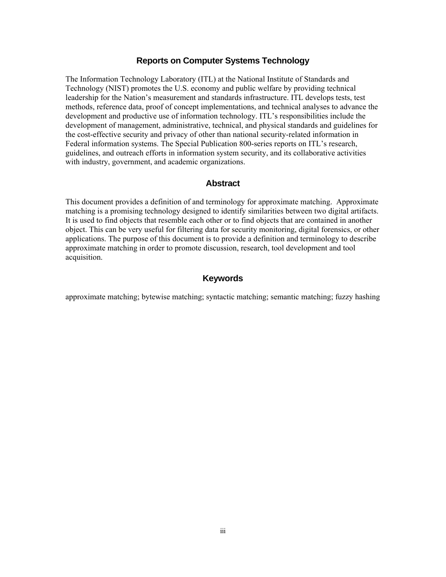## **Reports on Computer Systems Technology**

The Information Technology Laboratory (ITL) at the National Institute of Standards and Technology (NIST) promotes the U.S. economy and public welfare by providing technical leadership for the Nation's measurement and standards infrastructure. ITL develops tests, test methods, reference data, proof of concept implementations, and technical analyses to advance the development and productive use of information technology. ITL's responsibilities include the development of management, administrative, technical, and physical standards and guidelines for the cost-effective security and privacy of other than national security-related information in Federal information systems. The Special Publication 800-series reports on ITL's research, guidelines, and outreach efforts in information system security, and its collaborative activities with industry, government, and academic organizations.

#### **Abstract**

This document provides a definition of and terminology for approximate matching. Approximate matching is a promising technology designed to identify similarities between two digital artifacts. It is used to find objects that resemble each other or to find objects that are contained in another object. This can be very useful for filtering data for security monitoring, digital forensics, or other applications. The purpose of this document is to provide a definition and terminology to describe approximate matching in order to promote discussion, research, tool development and tool acquisition.

## **Keywords**

approximate matching; bytewise matching; syntactic matching; semantic matching; fuzzy hashing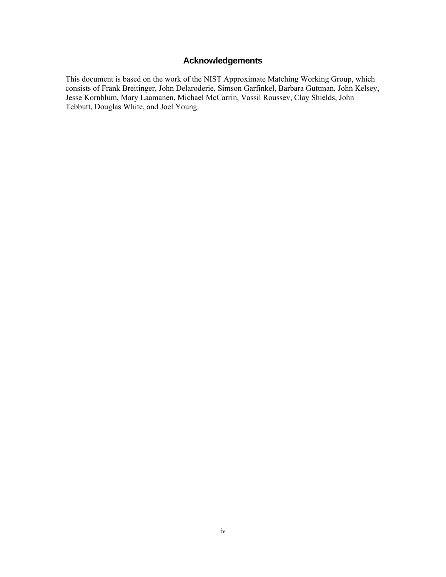## **Acknowledgements**

This document is based on the work of the NIST Approximate Matching Working Group, which consists of Frank Breitinger, John Delaroderie, Simson Garfinkel, Barbara Guttman, John Kelsey, Jesse Kornblum, Mary Laamanen, Michael McCarrin, Vassil Roussev, Clay Shields, John Tebbutt, Douglas White, and Joel Young.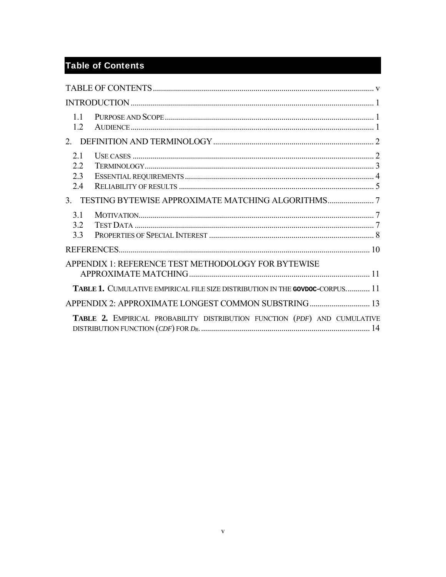## **Table of Contents**

| 11             |                                                                              |  |
|----------------|------------------------------------------------------------------------------|--|
| 12             |                                                                              |  |
|                |                                                                              |  |
| 2.1            |                                                                              |  |
| 2.2            |                                                                              |  |
| 2.3            |                                                                              |  |
| 2.4            |                                                                              |  |
| 3 <sub>1</sub> |                                                                              |  |
| 3.1            |                                                                              |  |
| 3.2            |                                                                              |  |
| 3.3            |                                                                              |  |
|                |                                                                              |  |
|                | APPENDIX 1: REFERENCE TEST METHODOLOGY FOR BYTEWISE                          |  |
|                |                                                                              |  |
|                | TABLE 1. CUMULATIVE EMPIRICAL FILE SIZE DISTRIBUTION IN THE GOVDOC-CORPUS 11 |  |
|                | APPENDIX 2: APPROXIMATE LONGEST COMMON SUBSTRING 13                          |  |
|                | TABLE 2. EMPIRICAL PROBABILITY DISTRIBUTION FUNCTION (PDF) AND CUMULATIVE    |  |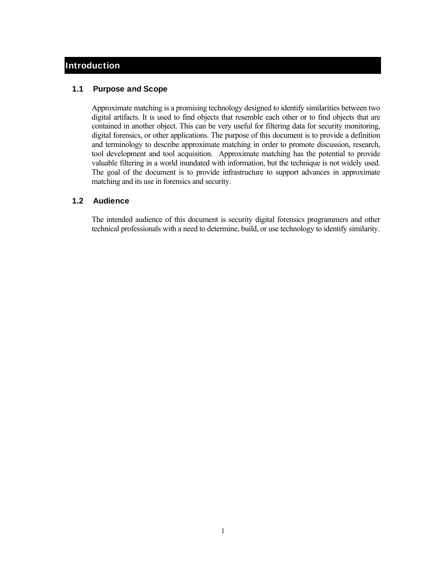## <span id="page-7-0"></span>Introduction

## 1.1 Purpose and Scope

Approximate matching is a promising technology designed to identify similarities between two digital artifacts. It is used to find objects that resemble each other or to find objects that are contained in another object. This can be very useful for filtering data for security monitoring, digital forensics, or other applications. The purpose of this document is to provide a definition and terminology to describe approximate matching in order to promote discussion, research, tool development and tool acquisition. Approximate matching has the potential to provide valuable filtering in a world inundated with information, but the technique is not widely used. The goal of the document is to provide infrastructure to support advances in approximate matching and its use in forensics and security.

### 1.2 Audience

 technical professionals with a need to determine, build, or use technology to identify similarity. The intended audience of this document is security digital forensics programmers and other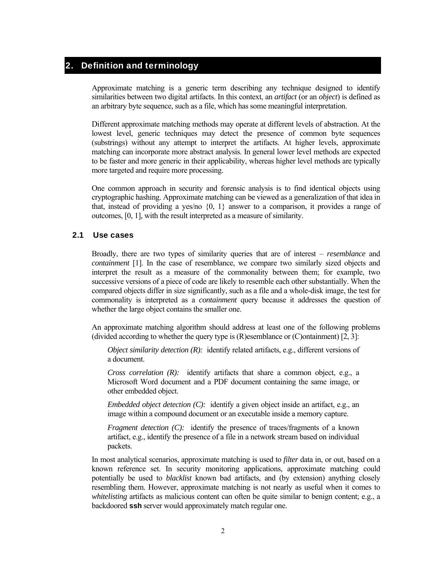## <span id="page-8-0"></span>2. Definition and terminology

Approximate matching is a generic term describing any technique designed to identify similarities between two digital artifacts. In this context, an *artifact* (or an *object*) is defined as an arbitrary byte sequence, such as a file, which has some meaningful interpretation.

Different approximate matching methods may operate at different levels of abstraction. At the lowest level, generic techniques may detect the presence of common byte sequences (substrings) without any attempt to interpret the artifacts. At higher levels, approximate matching can incorporate more abstract analysis. In general lower level methods are expected to be faster and more generic in their applicability, whereas higher level methods are typically more targeted and require more processing.

One common approach in security and forensic analysis is to find identical objects using cryptographic hashing. Approximate matching can be viewed as a generalization of that idea in that, instead of providing a yes/no  $\{0, 1\}$  answer to a comparison, it provides a range of outcomes, [0, 1], with the result interpreted as a measure of similarity.

#### 2.1 Use cases

Broadly, there are two types of similarity queries that are of interest – *resemblance* and *containment* [1]. In the case of resemblance, we compare two similarly sized objects and interpret the result as a measure of the commonality between them; for example, two successive versions of a piece of code are likely to resemble each other substantially. When the compared objects differ in size significantly, such as a file and a whole-disk image, the test for commonality is interpreted as a *containment* query because it addresses the question of whether the large object contains the smaller one.

An approximate matching algorithm should address at least one of the following problems (divided according to whether the query type is (R)esemblance or (C)ontainment) [2, 3]:

*Object similarity detection (R):* identify related artifacts, e.g., different versions of a document.

*Cross correlation (R):* identify artifacts that share a common object, e.g., a Microsoft Word document and a PDF document containing the same image, or other embedded object.

*Embedded object detection (C):* identify a given object inside an artifact, e.g., an image within a compound document or an executable inside a memory capture.

*Fragment detection (C):* identify the presence of traces/fragments of a known artifact, e.g., identify the presence of a file in a network stream based on individual packets.

In most analytical scenarios, approximate matching is used to *filter* data in, or out, based on a known reference set. In security monitoring applications, approximate matching could potentially be used to *blacklist* known bad artifacts, and (by extension) anything closely resembling them. However, approximate matching is not nearly as useful when it comes to *whitelisting* artifacts as malicious content can often be quite similar to benign content; e.g., a backdoored **ssh** server would approximately match regular one.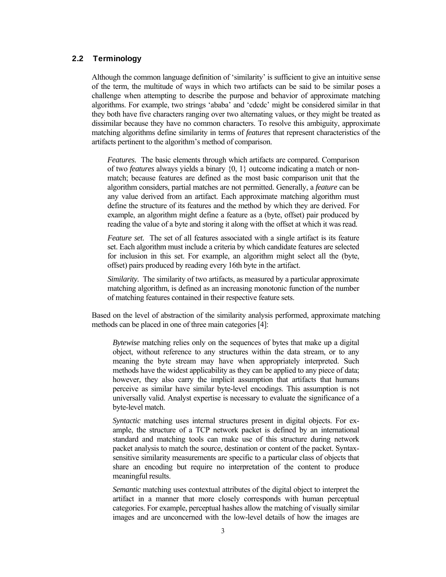## <span id="page-9-0"></span>2.2 Terminology

Although the common language definition of 'similarity' is sufficient to give an intuitive sense of the term, the multitude of ways in which two artifacts can be said to be similar poses a challenge when attempting to describe the purpose and behavior of approximate matching algorithms. For example, two strings 'ababa' and 'cdcdc' might be considered similar in that they both have five characters ranging over two alternating values, or they might be treated as dissimilar because they have no common characters. To resolve this ambiguity, approximate matching algorithms define similarity in terms of *features* that represent characteristics of the artifacts pertinent to the algorithm's method of comparison.

 any value derived from an artifact. Each approximate matching algorithm must *Features.* The basic elements through which artifacts are compared. Comparison of two *features* always yields a binary {0, 1} outcome indicating a match or nonmatch; because features are defined as the most basic comparison unit that the algorithm considers, partial matches are not permitted. Generally, a *feature* can be define the structure of its features and the method by which they are derived. For example, an algorithm might define a feature as a (byte, offset) pair produced by reading the value of a byte and storing it along with the offset at which it was read.

 *Feature set.* The set of all features associated with a single artifact is its feature offset) pairs produced by reading every 16th byte in the artifact. set. Each algorithm must include a criteria by which candidate features are selected for inclusion in this set. For example, an algorithm might select all the (byte,

*Similarity.* The similarity of two artifacts, as measured by a particular approximate matching algorithm, is defined as an increasing monotonic function of the number of matching features contained in their respective feature sets.

Based on the level of abstraction of the similarity analysis performed, approximate matching methods can be placed in one of three main categories [4]:

*Bytewise* matching relies only on the sequences of bytes that make up a digital object, without reference to any structures within the data stream, or to any meaning the byte stream may have when appropriately interpreted. Such methods have the widest applicability as they can be applied to any piece of data; however, they also carry the implicit assumption that artifacts that humans perceive as similar have similar byte-level encodings. This assumption is not universally valid. Analyst expertise is necessary to evaluate the significance of a byte-level match.

*Syntactic* matching uses internal structures present in digital objects. For example, the structure of a TCP network packet is defined by an international standard and matching tools can make use of this structure during network packet analysis to match the source, destination or content of the packet. Syntaxsensitive similarity measurements are specific to a particular class of objects that share an encoding but require no interpretation of the content to produce meaningful results.

*Semantic* matching uses contextual attributes of the digital object to interpret the artifact in a manner that more closely corresponds with human perceptual categories. For example, perceptual hashes allow the matching of visually similar images and are unconcerned with the low-level details of how the images are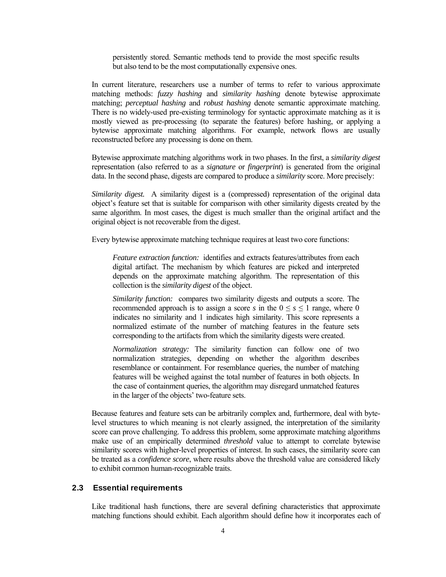persistently stored. Semantic methods tend to provide the most specific results but also tend to be the most computationally expensive ones.

<span id="page-10-0"></span> mostly viewed as pre-processing (to separate the features) before hashing, or applying a In current literature, researchers use a number of terms to refer to various approximate matching methods: *fuzzy hashing* and *similarity hashing* denote bytewise approximate matching; *perceptual hashing* and *robust hashing* denote semantic approximate matching. There is no widely-used pre-existing terminology for syntactic approximate matching as it is bytewise approximate matching algorithms. For example, network flows are usually reconstructed before any processing is done on them.

Bytewise approximate matching algorithms work in two phases. In the first, a *similarity digest*  representation (also referred to as a *signature* or *fingerprint*) is generated from the original data. In the second phase, digests are compared to produce a *similarity* score. More precisely:

*Similarity digest.* A similarity digest is a (compressed) representation of the original data object's feature set that is suitable for comparison with other similarity digests created by the same algorithm. In most cases, the digest is much smaller than the original artifact and the original object is not recoverable from the digest.

Every bytewise approximate matching technique requires at least two core functions:

*Feature extraction function:* identifies and extracts features/attributes from each digital artifact. The mechanism by which features are picked and interpreted depends on the approximate matching algorithm. The representation of this collection is the *similarity digest* of the object.

recommended approach is to assign a score *s* in the  $0 \le s \le 1$  range, where 0 *Similarity function:* compares two similarity digests and outputs a score. The indicates no similarity and 1 indicates high similarity. This score represents a normalized estimate of the number of matching features in the feature sets corresponding to the artifacts from which the similarity digests were created.

*Normalization strategy:* The similarity function can follow one of two normalization strategies, depending on whether the algorithm describes resemblance or containment. For resemblance queries, the number of matching features will be weighed against the total number of features in both objects. In the case of containment queries, the algorithm may disregard unmatched features in the larger of the objects' two-feature sets.

 level structures to which meaning is not clearly assigned, the interpretation of the similarity Because features and feature sets can be arbitrarily complex and, furthermore, deal with bytescore can prove challenging. To address this problem, some approximate matching algorithms make use of an empirically determined *threshold* value to attempt to correlate bytewise similarity scores with higher-level properties of interest. In such cases, the similarity score can be treated as a *confidence score*, where results above the threshold value are considered likely to exhibit common human-recognizable traits.

#### 2.3 Essential requirements

Like traditional hash functions, there are several defining characteristics that approximate matching functions should exhibit. Each algorithm should define how it incorporates each of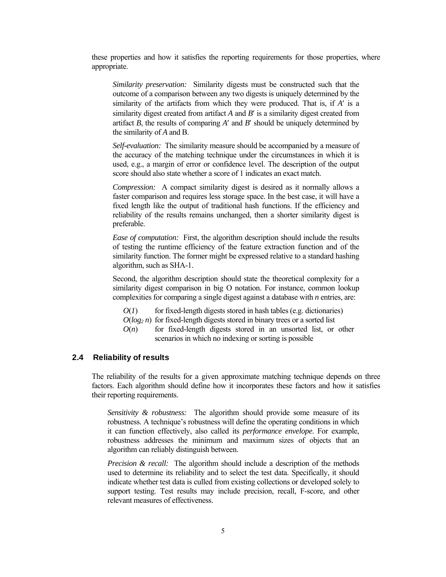<span id="page-11-0"></span>these properties and how it satisfies the reporting requirements for those properties, where appropriate.

*Similarity preservation:* Similarity digests must be constructed such that the outcome of a comparison between any two digests is uniquely determined by the similarity of the artifacts from which they were produced. That is, if *A'* is a similarity digest created from artifact  $A$  and  $B'$  is a similarity digest created from artifact  $B$ , the results of comparing  $A'$  and  $B'$  should be uniquely determined by the similarity of *A* and B.

*Self-evaluation:* The similarity measure should be accompanied by a measure of the accuracy of the matching technique under the circumstances in which it is used, e.g., a margin of error or confidence level. The description of the output score should also state whether a score of 1 indicates an exact match.

*Compression:* A compact similarity digest is desired as it normally allows a faster comparison and requires less storage space. In the best case, it will have a fixed length like the output of traditional hash functions. If the efficiency and reliability of the results remains unchanged, then a shorter similarity digest is preferable.

 *Ease of computation:* First, the algorithm description should include the results of testing the runtime efficiency of the feature extraction function and of the similarity function. The former might be expressed relative to a standard hashing algorithm, such as SHA-1.

Second, the algorithm description should state the theoretical complexity for a similarity digest comparison in big O notation. For instance, common lookup complexities for comparing a single digest against a database with *n* entries, are:

- $O(1)$  for fixed-length digests stored in hash tables (e.g. dictionaries)
- $O(log_2 n)$  for fixed-length digests stored in binary trees or a sorted list
- $O(n)$  for fixed-length digests stored in an unsorted list, or other scenarios in which no indexing or sorting is possible

### 2.4 Reliability of results

The reliability of the results for a given approximate matching technique depends on three factors. Each algorithm should define how it incorporates these factors and how it satisfies their reporting requirements.

*Sensitivity & robustness:* The algorithm should provide some measure of its robustness. A technique's robustness will define the operating conditions in which it can function effectively, also called its *performance envelope*. For example, robustness addresses the minimum and maximum sizes of objects that an algorithm can reliably distinguish between.

*Precision & recall:* The algorithm should include a description of the methods used to determine its reliability and to select the test data. Specifically, it should indicate whether test data is culled from existing collections or developed solely to support testing. Test results may include precision, recall, F-score, and other relevant measures of effectiveness.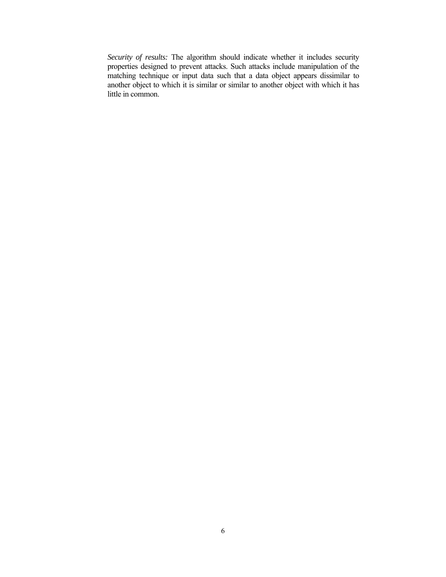*Security of results:* The algorithm should indicate whether it includes security properties designed to prevent attacks. Such attacks include manipulation of the matching technique or input data such that a data object appears dissimilar to another object to which it is similar or similar to another object with which it has little in common.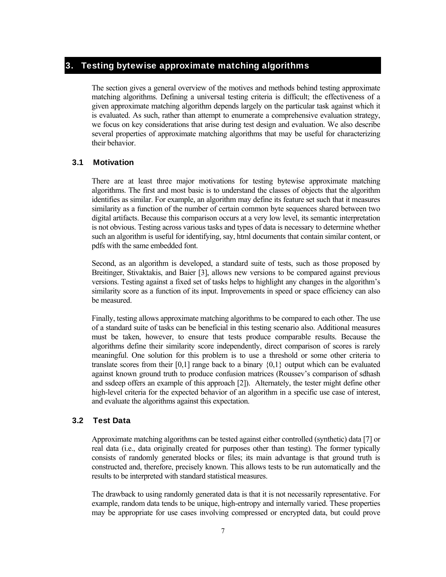## <span id="page-13-0"></span>3. Testing bytewise approximate matching algorithms

 their behavior. The section gives a general overview of the motives and methods behind testing approximate matching algorithms. Defining a universal testing criteria is difficult; the effectiveness of a given approximate matching algorithm depends largely on the particular task against which it is evaluated. As such, rather than attempt to enumerate a comprehensive evaluation strategy, we focus on key considerations that arise during test design and evaluation. We also describe several properties of approximate matching algorithms that may be useful for characterizing

## 3.1 Motivation

There are at least three major motivations for testing bytewise approximate matching algorithms. The first and most basic is to understand the classes of objects that the algorithm identifies as similar. For example, an algorithm may define its feature set such that it measures similarity as a function of the number of certain common byte sequences shared between two digital artifacts. Because this comparison occurs at a very low level, its semantic interpretation is not obvious. Testing across various tasks and types of data is necessary to determine whether such an algorithm is useful for identifying, say, html documents that contain similar content, or pdfs with the same embedded font.

Second, as an algorithm is developed, a standard suite of tests, such as those proposed by Breitinger, Stivaktakis, and Baier [3], allows new versions to be compared against previous versions. Testing against a fixed set of tasks helps to highlight any changes in the algorithm's similarity score as a function of its input. Improvements in speed or space efficiency can also be measured.

Finally, testing allows approximate matching algorithms to be compared to each other. The use of a standard suite of tasks can be beneficial in this testing scenario also. Additional measures must be taken, however, to ensure that tests produce comparable results. Because the algorithms define their similarity score independently, direct comparison of scores is rarely meaningful. One solution for this problem is to use a threshold or some other criteria to translate scores from their  $[0,1]$  range back to a binary  $\{0,1\}$  output which can be evaluated against known ground truth to produce confusion matrices (Roussev's comparison of sdhash and ssdeep offers an example of this approach [2]). Alternately, the tester might define other high-level criteria for the expected behavior of an algorithm in a specific use case of interest, and evaluate the algorithms against this expectation.

### 3.2 Test Data

Approximate matching algorithms can be tested against either controlled (synthetic) data [7] or real data (i.e., data originally created for purposes other than testing). The former typically consists of randomly generated blocks or files; its main advantage is that ground truth is constructed and, therefore, precisely known. This allows tests to be run automatically and the results to be interpreted with standard statistical measures.

The drawback to using randomly generated data is that it is not necessarily representative. For example, random data tends to be unique, high-entropy and internally varied. These properties may be appropriate for use cases involving compressed or encrypted data, but could prove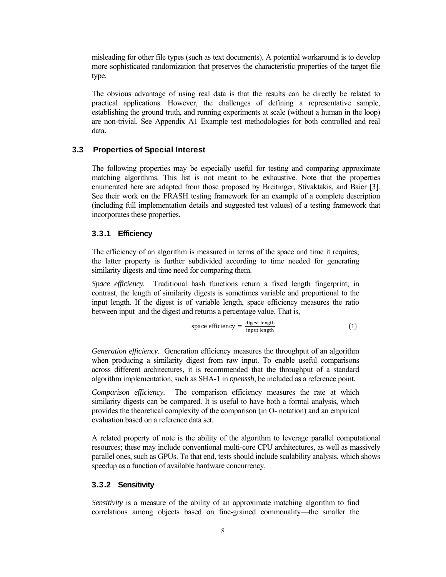<span id="page-14-0"></span>misleading for other file types (such as text documents). A potential workaround is to develop more sophisticated randomization that preserves the characteristic properties of the target file type.

The obvious advantage of using real data is that the results can be directly be related to practical applications. However, the challenges of defining a representative sample, establishing the ground truth, and running experiments at scale (without a human in the loop) are non-trivial. See Appendix A1 Example test methodologies for both controlled and real data.

## 3.3 Properties of Special Interest

The following properties may be especially useful for testing and comparing approximate matching algorithms. This list is not meant to be exhaustive. Note that the properties enumerated here are adapted from those proposed by Breitinger, Stivaktakis, and Baier [3]. See their work on the FRASH testing framework for an example of a complete description (including full implementation details and suggested test values) of a testing framework that incorporates these properties.

## 3.3.1 **Efficiency**

The efficiency of an algorithm is measured in terms of the space and time it requires; the latter property is further subdivided according to time needed for generating similarity digests and time need for comparing them.

*Space efficiency.* Traditional hash functions return a fixed length fingerprint; in contrast, the length of similarity digests is sometimes variable and proportional to the input length. If the digest is of variable length, space efficiency measures the ratio between input and the digest and returns a percentage value. That is,

space efficiency = 
$$
\frac{\text{digest length}}{\text{input length}}
$$
 (1)

*Generation efficiency.* Generation efficiency measures the throughput of an algorithm when producing a similarity digest from raw input. To enable useful comparisons across different architectures, it is recommended that the throughput of a standard algorithm implementation, such as SHA-1 in *openssh*, be included as a reference point.

 *Comparison efficiency.* The comparison efficiency measures the rate at which similarity digests can be compared. It is useful to have both a formal analysis, which provides the theoretical complexity of the comparison (in O- notation) and an empirical evaluation based on a reference data set.

A related property of note is the ability of the algorithm to leverage parallel computational resources; these may include conventional multi-core CPU architectures, as well as massively parallel ones, such as GPUs. To that end, tests should include scalability analysis, which shows speedup as a function of available hardware concurrency.

#### 3.3.2 **Sensitivity**

*Sensitivity* is a measure of the ability of an approximate matching algorithm to find correlations among objects based on fine-grained commonality—the smaller the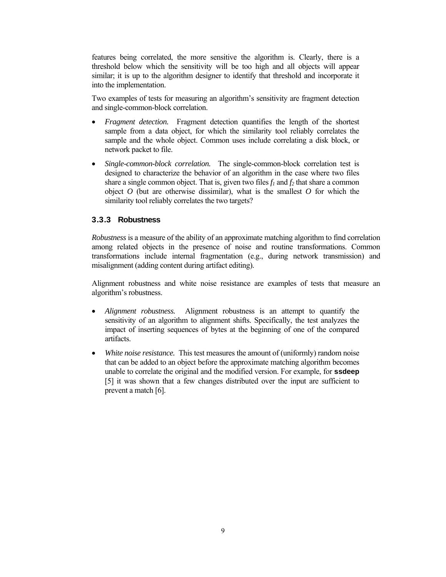features being correlated, the more sensitive the algorithm is. Clearly, there is a threshold below which the sensitivity will be too high and all objects will appear similar; it is up to the algorithm designer to identify that threshold and incorporate it into the implementation.

Two examples of tests for measuring an algorithm's sensitivity are fragment detection and single-common-block correlation.

- *Fragment detection.* Fragment detection quantifies the length of the shortest sample from a data object, for which the similarity tool reliably correlates the sample and the whole object. Common uses include correlating a disk block, or network packet to file.
- *Single-common-block correlation.* The single-common-block correlation test is designed to characterize the behavior of an algorithm in the case where two files share a single common object. That is, given two files  $f_l$  and  $f_2$  that share a common object *O* (but are otherwise dissimilar), what is the smallest *O* for which the similarity tool reliably correlates the two targets?

### 3.3.3 **Robustness**

*Robustness* is a measure of the ability of an approximate matching algorithm to find correlation among related objects in the presence of noise and routine transformations. Common transformations include internal fragmentation (e.g., during network transmission) and misalignment (adding content during artifact editing).

Alignment robustness and white noise resistance are examples of tests that measure an algorithm's robustness.

- *Alignment robustness.* Alignment robustness is an attempt to quantify the sensitivity of an algorithm to alignment shifts. Specifically, the test analyzes the impact of inserting sequences of bytes at the beginning of one of the compared artifacts.
- *White noise resistance.* This test measures the amount of (uniformly) random noise that can be added to an object before the approximate matching algorithm becomes unable to correlate the original and the modified version. For example, for **ssdeep** [5] it was shown that a few changes distributed over the input are sufficient to prevent a match [6].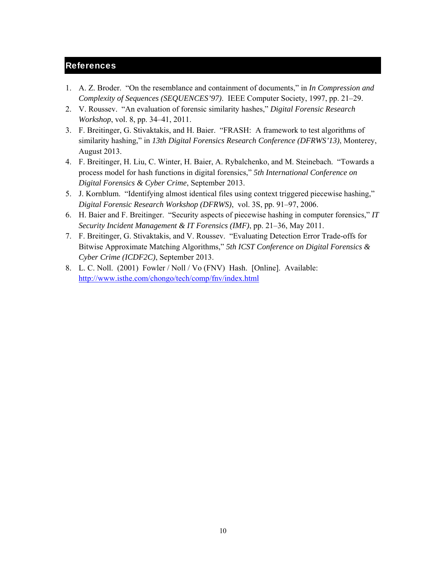## <span id="page-16-0"></span>References

- 1. A. Z. Broder. "On the resemblance and containment of documents," in *In Compression and Complexity of Sequences (SEQUENCES'97)*. IEEE Computer Society, 1997, pp. 21–29.
- 2. V. Roussev. "An evaluation of forensic similarity hashes," *Digital Forensic Research Workshop*, vol. 8, pp. 34–41, 2011.
- 3. F. Breitinger, G. Stivaktakis, and H. Baier. "FRASH: A framework to test algorithms of similarity hashing," in *13th Digital Forensics Research Conference (DFRWS'13)*, Monterey, August 2013.
- 4. F. Breitinger, H. Liu, C. Winter, H. Baier, A. Rybalchenko, and M. Steinebach. "Towards a process model for hash functions in digital forensics," *5th International Conference on Digital Forensics & Cyber Crime*, September 2013.
- 5. J. Kornblum. "Identifying almost identical files using context triggered piecewise hashing," *Digital Forensic Research Workshop (DFRWS)*, vol. 3S, pp. 91–97, 2006.
- 6. H. Baier and F. Breitinger. "Security aspects of piecewise hashing in computer forensics," *IT Security Incident Management & IT Forensics (IMF)*, pp. 21–36, May 2011.
- 7. F. Breitinger, G. Stivaktakis, and V. Roussev. "Evaluating Detection Error Trade-offs for Bitwise Approximate Matching Algorithms," *5th ICST Conference on Digital Forensics & Cyber Crime (ICDF2C)*, September 2013.
- 8. L. C. Noll. (2001) Fowler / Noll / Vo (FNV) Hash. [Online]. Available: http://www.isthe.com/chongo/tech/comp/fnv/index.html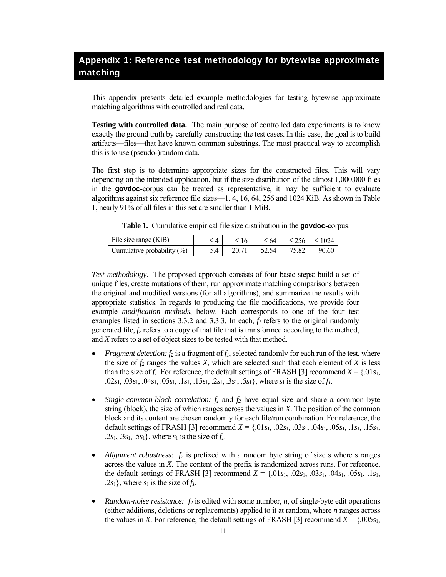## Appendix 1: Reference test methodology for bytewise approximate matching

This appendix presents detailed example methodologies for testing bytewise approximate matching algorithms with controlled and real data.

**Testing with controlled data.** The main purpose of controlled data experiments is to know exactly the ground truth by carefully constructing the test cases. In this case, the goal is to build artifacts—files—that have known common substrings. The most practical way to accomplish this is to use (pseudo-)random data.

The first step is to determine appropriate sizes for the constructed files. This will vary depending on the intended application, but if the size distribution of the almost 1,000,000 files in the **govdoc**-corpus can be treated as representative, it may be sufficient to evaluate algorithms against six reference file sizes—1, 4, 16, 64, 256 and 1024 KiB. As shown in Table 1, nearly 91% of all files in this set are smaller than 1 MiB.

**Table 1.** Cumulative empirical file size distribution in the **govdoc**-corpus.

| File size range (KiB)         |     | $\leq$ 16 | $\leq 64$ |       | $\leq$ 256   $\leq$ 1024 |
|-------------------------------|-----|-----------|-----------|-------|--------------------------|
| Cumulative probability $(\%)$ | 5.4 | 20.71     | 52.54     | 75.82 | 90.60                    |

*Test methodology*. The proposed approach consists of four basic steps: build a set of unique files, create mutations of them, run approximate matching comparisons between the original and modified versions (for all algorithms), and summarize the results with appropriate statistics. In regards to producing the file modifications, we provide four example *modification methods*, below. Each corresponds to one of the four test examples listed in sections 3.3.2 and 3.3.3. In each, *f1* refers to the original randomly generated file, *f2* refers to a copy of that file that is transformed according to the method, and *X* refers to a set of object sizes to be tested with that method.

- *Fragment detection:*  $f_2$  is a fragment of  $f_1$ , selected randomly for each run of the test, where the size of  $f_2$  ranges the values  $X$ , which are selected such that each element of  $X$  is less than the size of  $f_1$ . For reference, the default settings of FRASH [3] recommend  $X = \{0.01s_1,$ .02*s*1, .03*s*1, .04*s*1, .05*s*1, .1*s*1, .15*s*1, .2*s*1, .3*s*1, .5*s*1}, where *s*1 is the size of *f1*.
- *Single-common-block correlation:*  $f_1$  and  $f_2$  have equal size and share a common byte string (block), the size of which ranges across the values in *X*. The position of the common block and its content are chosen randomly for each file/run combination. For reference, the default settings of FRASH [3] recommend  $X = \{.01s_1, .02s_1, .03s_1, .04s_1, .05s_1, .1s_1, .15s_1,$ .2 $s_1$ , .3 $s_1$ , .5 $s_1$ }, where  $s_1$  is the size of  $f_1$ .
- Alignment robustness:  $f_2$  is prefixed with a random byte string of size s where s ranges across the values in *X*. The content of the prefix is randomized across runs. For reference, the default settings of FRASH [3] recommend  $X = \{0.01s_1, 0.02s_1, 0.03s_1, 0.04s_1, 0.05s_1, 0.1s_1, 0.0s_2, 0.04s_2, 0.04s_1, 0.04s_2, 0.04s_2, 0.04s_1, 0.04s_2, 0.04s_2, 0.04s_1, 0.04s_2, 0.04s_1, 0.04s_2, 0.04s_1, 0.0$  $.2s_1$ , where  $s_1$  is the size of  $f_1$ .
- Random-noise resistance:  $f_2$  is edited with some number,  $n$ , of single-byte edit operations (either additions, deletions or replacements) applied to it at random, where *n* ranges across the values in *X*. For reference, the default settings of FRASH [3] recommend  $X = \{0.005s_1,$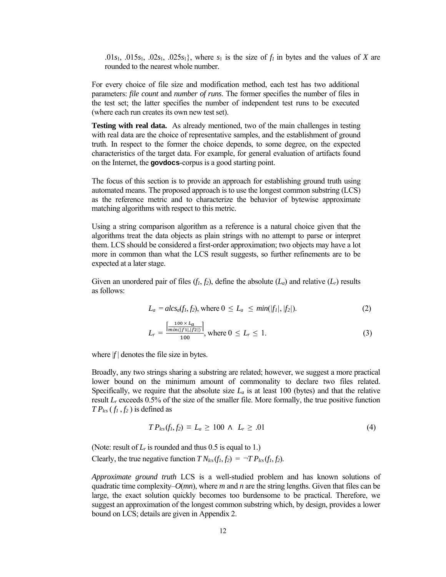$.01s_1, .015s_1, .02s_1, .025s_1$ , where  $s_1$  is the size of  $f_1$  in bytes and the values of *X* are rounded to the nearest whole number.

For every choice of file size and modification method, each test has two additional parameters: *file count* and *number of runs*. The former specifies the number of files in the test set; the latter specifies the number of independent test runs to be executed (where each run creates its own new test set).

**Testing with real data.** As already mentioned, two of the main challenges in testing with real data are the choice of representative samples, and the establishment of ground truth. In respect to the former the choice depends, to some degree, on the expected characteristics of the target data. For example, for general evaluation of artifacts found on the Internet, the **govdocs**-corpus is a good starting point.

The focus of this section is to provide an approach for establishing ground truth using automated means. The proposed approach is to use the longest common substring (LCS) as the reference metric and to characterize the behavior of bytewise approximate matching algorithms with respect to this metric.

Using a string comparison algorithm as a reference is a natural choice given that the algorithms treat the data objects as plain strings with no attempt to parse or interpret them. LCS should be considered a first-order approximation; two objects may have a lot more in common than what the LCS result suggests, so further refinements are to be expected at a later stage.

Given an unordered pair of files  $(f_1, f_2)$ , define the absolute  $(L_a)$  and relative  $(L_r)$  results as follows:

$$
L_a = \text{alcs}_a(f_1, f_2), \text{ where } 0 \le L_a \le \min(|f_1|, |f_2|). \tag{2}
$$

$$
L_r = \frac{\left[\frac{100 \times L_a}{\min(|f1|,|f2|)}\right]}{100}, \text{ where } 0 \le L_r \le 1.
$$
 (3)

where  $|f|$  denotes the file size in bytes.

Broadly, any two strings sharing a substring are related; however, we suggest a more practical lower bound on the minimum amount of commonality to declare two files related. Specifically, we require that the absolute size  $L_a$  is at least 100 (bytes) and that the relative result  $L_r$  exceeds 0.5% of the size of the smaller file. More formally, the true positive function  $TP_{lcs}(f_1, f_2)$  is defined as

$$
TP_{lcs}(f_1, f_2) \equiv L_a \ge 100 \ \land \ L_r \ge .01 \tag{4}
$$

(Note: result of  $L_r$  is rounded and thus 0.5 is equal to 1.) Clearly, the true negative function  $TN_{lcs}(f_1, f_2) = \neg TP_{lcs}(f_1, f_2)$ .

 suggest an approximation of the longest common substring which, by design, provides a lower *Approximate ground truth* LCS is a well-studied problem and has known solutions of quadratic time complexity–*O*(*mn*), where *m* and *n* are the string lengths. Given that files can be large, the exact solution quickly becomes too burdensome to be practical. Therefore, we bound on LCS; details are given in Appendix 2.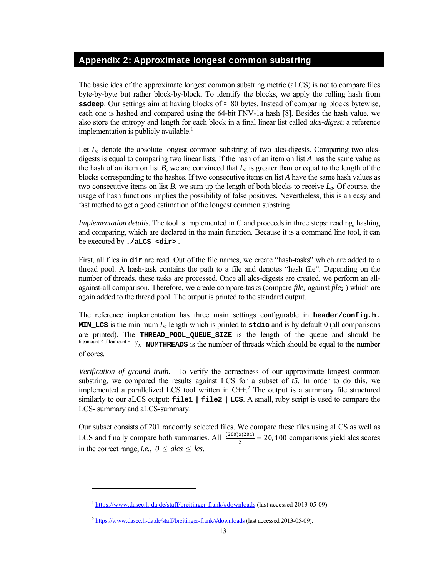## <span id="page-19-0"></span>Appendix 2: Approximate longest common substring

The basic idea of the approximate longest common substring metric (aLCS) is not to compare files byte-by-byte but rather block-by-block. To identify the blocks, we apply the rolling hash from **ssdeep**. Our settings aim at having blocks of  $\approx 80$  bytes. Instead of comparing blocks bytewise, each one is hashed and compared using the 64-bit FNV-1a hash [8]. Besides the hash value, we also store the entropy and length for each block in a final linear list called *alcs-digest*; a reference implementation is publicly available.<sup>1</sup>

Let *L<sub>a</sub>* denote the absolute longest common substring of two alcs-digests. Comparing two alcsdigests is equal to comparing two linear lists. If the hash of an item on list *A* has the same value as the hash of an item on list  $B$ , we are convinced that  $L_a$  is greater than or equal to the length of the blocks corresponding to the hashes. If two consecutive items on list *A* have the same hash values as two consecutive items on list *B*, we sum up the length of both blocks to receive  $L_a$ . Of course, the usage of hash functions implies the possibility of false positives. Nevertheless, this is an easy and fast method to get a good estimation of the longest common substring.

*Implementation details.* The tool is implemented in C and proceeds in three steps: reading, hashing and comparing, which are declared in the main function. Because it is a command line tool, it can be executed by **./aLCS <dir>** .

First, all files in **dir** are read. Out of the file names, we create "hash-tasks" which are added to a thread pool. A hash-task contains the path to a file and denotes "hash file". Depending on the number of threads, these tasks are processed. Once all alcs-digests are created, we perform an allagainst-all comparison. Therefore, we create compare-tasks (compare *file<sub>1</sub>* against *file<sub>2</sub>*) which are again added to the thread pool. The output is printed to the standard output.

The reference implementation has three main settings configurable in **header/config.h. MIN** LCS is the minimum  $L_a$  length which is printed to **stdio** and is by default 0 (all comparisons are printed). The **THREAD\_POOL\_QUEUE\_SIZE** is the length of the queue and should be fileamount × (fileamount − 1)/2. **NUMTHREADS** is the number of threads which should be equal to the number of cores.

 similarly to our aLCS output: **file1 | file2 | LCS**. A small, ruby script is used to compare the *Verification of ground truth.* To verify the correctness of our approximate longest common substring, we compared the results against LCS for a subset of *t5*. In order to do this, we implemented a parallelized LCS tool written in  $C++$ <sup>2</sup>. The output is a summary file structured LCS- summary and aLCS-summary.

in the correct range, *i.e.*,  $0 \leq a \text{ } \text{ } c \leq \text{ } \text{ } \text{ } \text{ } c \text{ } \text{s}.$ Our subset consists of 201 randomly selected files. We compare these files using aLCS as well as LCS and finally compare both summaries. All  $\frac{(200)x(201)}{2} = 20,100$  comparisons yield alcs scores

l

<sup>1</sup> https://www.dasec.h-da.de/staff/breitinger-frank/#downloads (last accessed 2013-05-09).

<sup>2</sup> https://www.dasec.h-da.de/staff/breitinger-frank/#downloads (last accessed 2013-05-09).